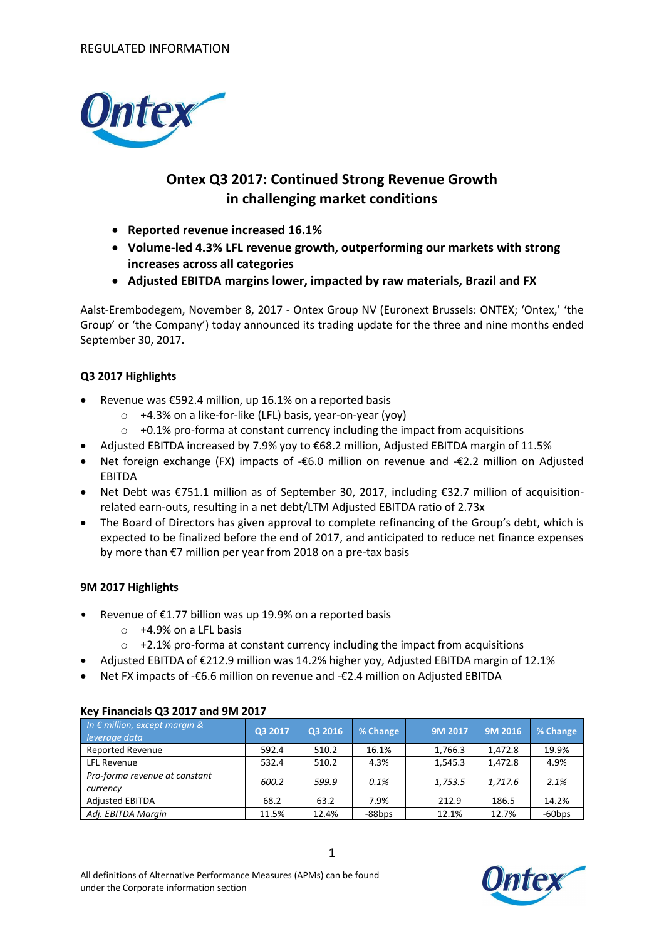

# **Ontex Q3 2017: Continued Strong Revenue Growth in challenging market conditions**

- **Reported revenue increased 16.1%**
- **Volume-led 4.3% LFL revenue growth, outperforming our markets with strong increases across all categories**
- **Adjusted EBITDA margins lower, impacted by raw materials, Brazil and FX**

Aalst-Erembodegem, November 8, 2017 - Ontex Group NV (Euronext Brussels: ONTEX; 'Ontex,' 'the Group' or 'the Company') today announced its trading update for the three and nine months ended September 30, 2017.

## **Q3 2017 Highlights**

- Revenue was €592.4 million, up 16.1% on a reported basis
	- o +4.3% on a like-for-like (LFL) basis, year-on-year (yoy)
	- $\circ$  +0.1% pro-forma at constant currency including the impact from acquisitions
- Adjusted EBITDA increased by 7.9% yoy to €68.2 million, Adjusted EBITDA margin of 11.5%
- Net foreign exchange (FX) impacts of -€6.0 million on revenue and -€2.2 million on Adjusted EBITDA
- Net Debt was €751.1 million as of September 30, 2017, including €32.7 million of acquisitionrelated earn-outs, resulting in a net debt/LTM Adjusted EBITDA ratio of 2.73x
- The Board of Directors has given approval to complete refinancing of the Group's debt, which is expected to be finalized before the end of 2017, and anticipated to reduce net finance expenses by more than €7 million per year from 2018 on a pre-tax basis

### **9M 2017 Highlights**

- Revenue of  $£1.77$  billion was up 19.9% on a reported basis
	- o +4.9% on a LFL basis
	- o +2.1% pro-forma at constant currency including the impact from acquisitions
- Adjusted EBITDA of €212.9 million was 14.2% higher yoy, Adjusted EBITDA margin of 12.1%
- Net FX impacts of -€6.6 million on revenue and -€2.4 million on Adjusted EBITDA

| $1.5.7$ . Therefore $9.9$ and $1.7$ and $1.7$ and $1.7$ |         |         |          |  |         |         |           |
|---------------------------------------------------------|---------|---------|----------|--|---------|---------|-----------|
| In $\epsilon$ million, except margin &<br>leverage data | Q3 2017 | Q3 2016 | % Change |  | 9M 2017 | 9M 2016 | % Change  |
| <b>Reported Revenue</b>                                 | 592.4   | 510.2   | 16.1%    |  | 1,766.3 | 1.472.8 | 19.9%     |
| LFL Revenue                                             | 532.4   | 510.2   | 4.3%     |  | 1.545.3 | 1,472.8 | 4.9%      |
| Pro-forma revenue at constant<br>currency               | 600.2   | 599.9   | 0.1%     |  | 1,753.5 | 1,717.6 | 2.1%      |
| <b>Adjusted EBITDA</b>                                  | 68.2    | 63.2    | 7.9%     |  | 212.9   | 186.5   | 14.2%     |
| Adj. EBITDA Margin                                      | 11.5%   | 12.4%   | -88bps   |  | 12.1%   | 12.7%   | $-60$ bps |

### **Key Financials Q3 2017 and 9M 2017**

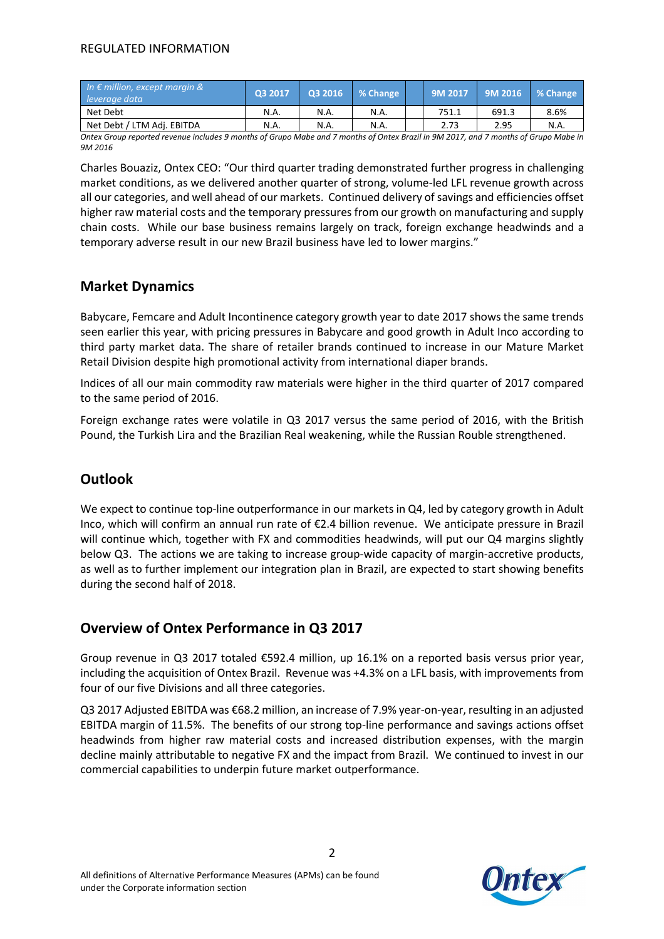## REGULATED INFORMATION

| In $\epsilon$ million, except margin &<br>leverage data | 03 2017 |      | Q3 2016 % Change | 9M 2017 | 9M 2016 | ■ % Change |
|---------------------------------------------------------|---------|------|------------------|---------|---------|------------|
| Net Debt                                                | N.A.    | N.A. | N.A.             | 751.1   | 691.3   | 8.6%       |
| Net Debt / LTM Adj. EBITDA                              | N.A.    | N.A. | N.A.             | 2.73    | 2.95    | N.A.       |

*Ontex Group reported revenue includes 9 months of Grupo Mabe and 7 months of Ontex Brazil in 9M 2017, and 7 months of Grupo Mabe in 9M 2016*

Charles Bouaziz, Ontex CEO: "Our third quarter trading demonstrated further progress in challenging market conditions, as we delivered another quarter of strong, volume-led LFL revenue growth across all our categories, and well ahead of our markets. Continued delivery of savings and efficiencies offset higher raw material costs and the temporary pressures from our growth on manufacturing and supply chain costs. While our base business remains largely on track, foreign exchange headwinds and a temporary adverse result in our new Brazil business have led to lower margins."

# **Market Dynamics**

Babycare, Femcare and Adult Incontinence category growth year to date 2017 shows the same trends seen earlier this year, with pricing pressures in Babycare and good growth in Adult Inco according to third party market data. The share of retailer brands continued to increase in our Mature Market Retail Division despite high promotional activity from international diaper brands.

Indices of all our main commodity raw materials were higher in the third quarter of 2017 compared to the same period of 2016.

Foreign exchange rates were volatile in Q3 2017 versus the same period of 2016, with the British Pound, the Turkish Lira and the Brazilian Real weakening, while the Russian Rouble strengthened.

# **Outlook**

We expect to continue top-line outperformance in our markets in Q4, led by category growth in Adult Inco, which will confirm an annual run rate of €2.4 billion revenue. We anticipate pressure in Brazil will continue which, together with FX and commodities headwinds, will put our Q4 margins slightly below Q3. The actions we are taking to increase group-wide capacity of margin-accretive products, as well as to further implement our integration plan in Brazil, are expected to start showing benefits during the second half of 2018.

# **Overview of Ontex Performance in Q3 2017**

Group revenue in Q3 2017 totaled €592.4 million, up 16.1% on a reported basis versus prior year, including the acquisition of Ontex Brazil. Revenue was +4.3% on a LFL basis, with improvements from four of our five Divisions and all three categories.

Q3 2017 Adjusted EBITDA was €68.2 million, an increase of 7.9% year-on-year, resulting in an adjusted EBITDA margin of 11.5%. The benefits of our strong top-line performance and savings actions offset headwinds from higher raw material costs and increased distribution expenses, with the margin decline mainly attributable to negative FX and the impact from Brazil. We continued to invest in our commercial capabilities to underpin future market outperformance.

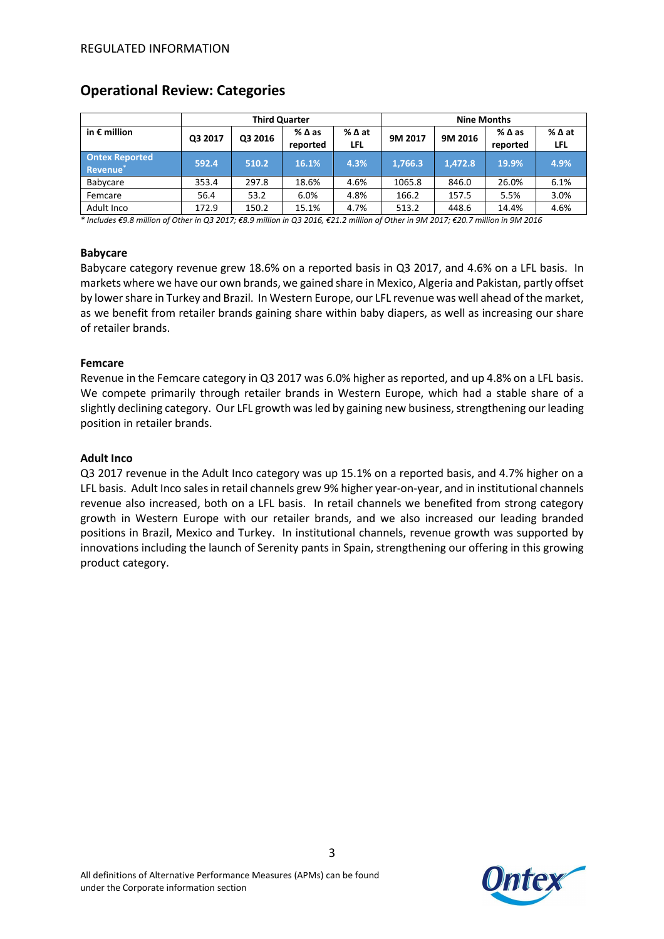|                                               | <b>Third Quarter</b> |         |                             |               | <b>Nine Months</b> |         |                  |             |
|-----------------------------------------------|----------------------|---------|-----------------------------|---------------|--------------------|---------|------------------|-------------|
| in $\epsilon$ million                         | Q3 2017              | Q3 2016 | $%$ $\Delta$ as<br>reported | % ∆ at<br>LFL | 9M 2017            | 9M 2016 | %∆as<br>reported | %∆at<br>LFL |
| <b>Ontex Reported</b><br>Revenue <sup>®</sup> | 592.4                | 510.2   | 16.1%                       | 4.3%          | 1,766.3            | 1,472.8 | 19.9%            | 4.9%        |
| Babycare                                      | 353.4                | 297.8   | 18.6%                       | 4.6%          | 1065.8             | 846.0   | 26.0%            | 6.1%        |
| Femcare                                       | 56.4                 | 53.2    | 6.0%                        | 4.8%          | 166.2              | 157.5   | 5.5%             | 3.0%        |
| Adult Inco                                    | 172.9                | 150.2   | 15.1%                       | 4.7%          | 513.2              | 448.6   | 14.4%            | 4.6%        |

## **Operational Review: Categories**

*\* Includes €9.8 million of Other in Q3 2017; €8.9 million in Q3 2016, €21.2 million of Other in 9M 2017; €20.7 million in 9M 2016*

#### **Babycare**

Babycare category revenue grew 18.6% on a reported basis in Q3 2017, and 4.6% on a LFL basis. In markets where we have our own brands, we gained share in Mexico, Algeria and Pakistan, partly offset by lower share in Turkey and Brazil. In Western Europe, our LFL revenue was well ahead of the market, as we benefit from retailer brands gaining share within baby diapers, as well as increasing our share of retailer brands.

#### **Femcare**

Revenue in the Femcare category in Q3 2017 was 6.0% higher as reported, and up 4.8% on a LFL basis. We compete primarily through retailer brands in Western Europe, which had a stable share of a slightly declining category. Our LFL growth was led by gaining new business, strengthening our leading position in retailer brands.

#### **Adult Inco**

Q3 2017 revenue in the Adult Inco category was up 15.1% on a reported basis, and 4.7% higher on a LFL basis. Adult Inco sales in retail channels grew 9% higher year-on-year, and in institutional channels revenue also increased, both on a LFL basis. In retail channels we benefited from strong category growth in Western Europe with our retailer brands, and we also increased our leading branded positions in Brazil, Mexico and Turkey. In institutional channels, revenue growth was supported by innovations including the launch of Serenity pants in Spain, strengthening our offering in this growing product category.

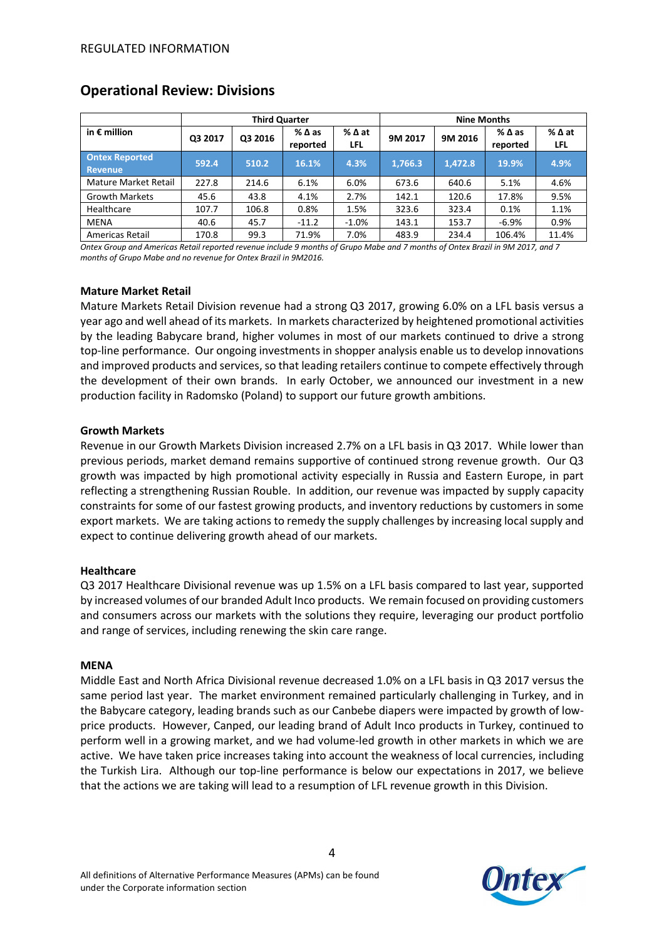|                                  | <b>Third Quarter</b> |         |                  |                         | <b>Nine Months</b> |         |                             |                      |
|----------------------------------|----------------------|---------|------------------|-------------------------|--------------------|---------|-----------------------------|----------------------|
| in $\epsilon$ million            | Q3 2017              | Q3 2016 | %∆as<br>reported | $%$ $\Delta$ at<br>LFL. | 9M 2017            | 9M 2016 | $%$ $\Delta$ as<br>reported | % ∆ at<br><b>LFL</b> |
| <b>Ontex Reported</b><br>Revenue | 592.4                | 510.2   | 16.1%            | 4.3%                    | 1,766.3            | 1,472.8 | 19.9%                       | 4.9%                 |
| Mature Market Retail             | 227.8                | 214.6   | 6.1%             | 6.0%                    | 673.6              | 640.6   | 5.1%                        | 4.6%                 |
| <b>Growth Markets</b>            | 45.6                 | 43.8    | 4.1%             | 2.7%                    | 142.1              | 120.6   | 17.8%                       | 9.5%                 |
| Healthcare                       | 107.7                | 106.8   | 0.8%             | 1.5%                    | 323.6              | 323.4   | 0.1%                        | 1.1%                 |
| <b>MENA</b>                      | 40.6                 | 45.7    | $-11.2$          | $-1.0%$                 | 143.1              | 153.7   | $-6.9%$                     | 0.9%                 |
| Americas Retail                  | 170.8                | 99.3    | 71.9%            | 7.0%                    | 483.9              | 234.4   | 106.4%                      | 11.4%                |

## **Operational Review: Divisions**

*Ontex Group and Americas Retail reported revenue include 9 months of Grupo Mabe and 7 months of Ontex Brazil in 9M 2017, and 7 months of Grupo Mabe and no revenue for Ontex Brazil in 9M2016.*

#### **Mature Market Retail**

Mature Markets Retail Division revenue had a strong Q3 2017, growing 6.0% on a LFL basis versus a year ago and well ahead of its markets. In markets characterized by heightened promotional activities by the leading Babycare brand, higher volumes in most of our markets continued to drive a strong top-line performance. Our ongoing investments in shopper analysis enable us to develop innovations and improved products and services, so that leading retailers continue to compete effectively through the development of their own brands. In early October, we announced our investment in a new production facility in Radomsko (Poland) to support our future growth ambitions.

#### **Growth Markets**

Revenue in our Growth Markets Division increased 2.7% on a LFL basis in Q3 2017. While lower than previous periods, market demand remains supportive of continued strong revenue growth. Our Q3 growth was impacted by high promotional activity especially in Russia and Eastern Europe, in part reflecting a strengthening Russian Rouble. In addition, our revenue was impacted by supply capacity constraints for some of our fastest growing products, and inventory reductions by customers in some export markets. We are taking actions to remedy the supply challenges by increasing local supply and expect to continue delivering growth ahead of our markets.

#### **Healthcare**

Q3 2017 Healthcare Divisional revenue was up 1.5% on a LFL basis compared to last year, supported by increased volumes of our branded Adult Inco products. We remain focused on providing customers and consumers across our markets with the solutions they require, leveraging our product portfolio and range of services, including renewing the skin care range.

#### **MENA**

Middle East and North Africa Divisional revenue decreased 1.0% on a LFL basis in Q3 2017 versus the same period last year. The market environment remained particularly challenging in Turkey, and in the Babycare category, leading brands such as our Canbebe diapers were impacted by growth of lowprice products. However, Canped, our leading brand of Adult Inco products in Turkey, continued to perform well in a growing market, and we had volume-led growth in other markets in which we are active. We have taken price increases taking into account the weakness of local currencies, including the Turkish Lira. Although our top-line performance is below our expectations in 2017, we believe that the actions we are taking will lead to a resumption of LFL revenue growth in this Division.

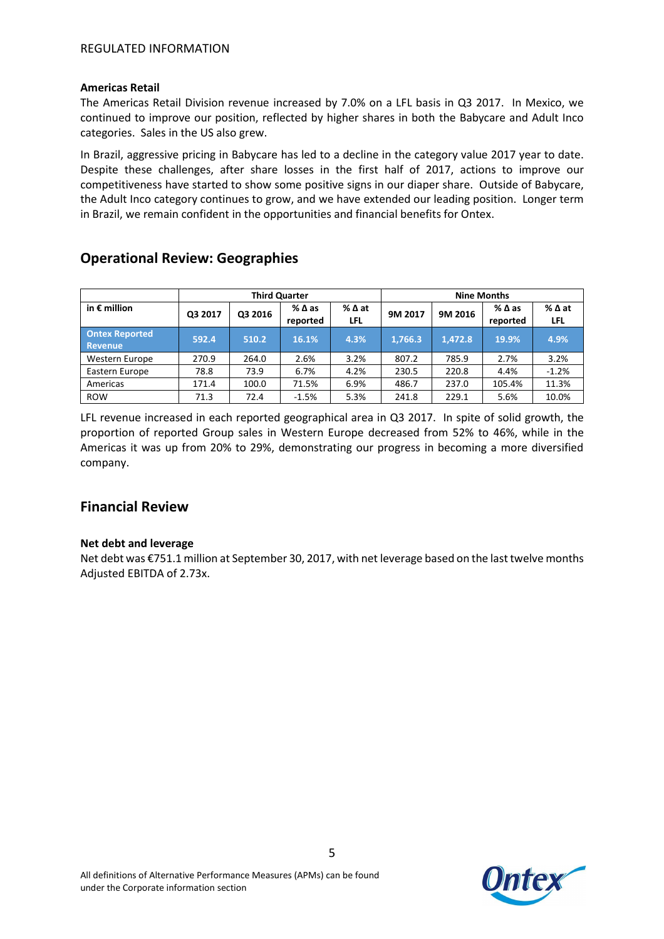#### **Americas Retail**

The Americas Retail Division revenue increased by 7.0% on a LFL basis in Q3 2017. In Mexico, we continued to improve our position, reflected by higher shares in both the Babycare and Adult Inco categories. Sales in the US also grew.

In Brazil, aggressive pricing in Babycare has led to a decline in the category value 2017 year to date. Despite these challenges, after share losses in the first half of 2017, actions to improve our competitiveness have started to show some positive signs in our diaper share. Outside of Babycare, the Adult Inco category continues to grow, and we have extended our leading position. Longer term in Brazil, we remain confident in the opportunities and financial benefits for Ontex.

# **Operational Review: Geographies**

|                                  |         |         | <b>Third Quarter</b>        |             | <b>Nine Months</b> |         |                             |                        |
|----------------------------------|---------|---------|-----------------------------|-------------|--------------------|---------|-----------------------------|------------------------|
| in $\epsilon$ million            | Q3 2017 | Q3 2016 | $%$ $\Delta$ as<br>reported | %∆at<br>LFL | 9M 2017            | 9M 2016 | $%$ $\Delta$ as<br>reported | $%$ $\Delta$ at<br>LFL |
| <b>Ontex Reported</b><br>Revenue | 592.4   | 510.2   | 16.1%                       | 4.3%        | 1,766.3            | 1.472.8 | 19.9%                       | 4.9%                   |
| Western Europe                   | 270.9   | 264.0   | 2.6%                        | 3.2%        | 807.2              | 785.9   | 2.7%                        | 3.2%                   |
| Eastern Europe                   | 78.8    | 73.9    | 6.7%                        | 4.2%        | 230.5              | 220.8   | 4.4%                        | $-1.2%$                |
| Americas                         | 171.4   | 100.0   | 71.5%                       | 6.9%        | 486.7              | 237.0   | 105.4%                      | 11.3%                  |
| <b>ROW</b>                       | 71.3    | 72.4    | $-1.5%$                     | 5.3%        | 241.8              | 229.1   | 5.6%                        | 10.0%                  |

LFL revenue increased in each reported geographical area in Q3 2017. In spite of solid growth, the proportion of reported Group sales in Western Europe decreased from 52% to 46%, while in the Americas it was up from 20% to 29%, demonstrating our progress in becoming a more diversified company.

# **Financial Review**

### **Net debt and leverage**

Net debt was €751.1 million at September 30, 2017, with net leverage based on the last twelve months Adjusted EBITDA of 2.73x.

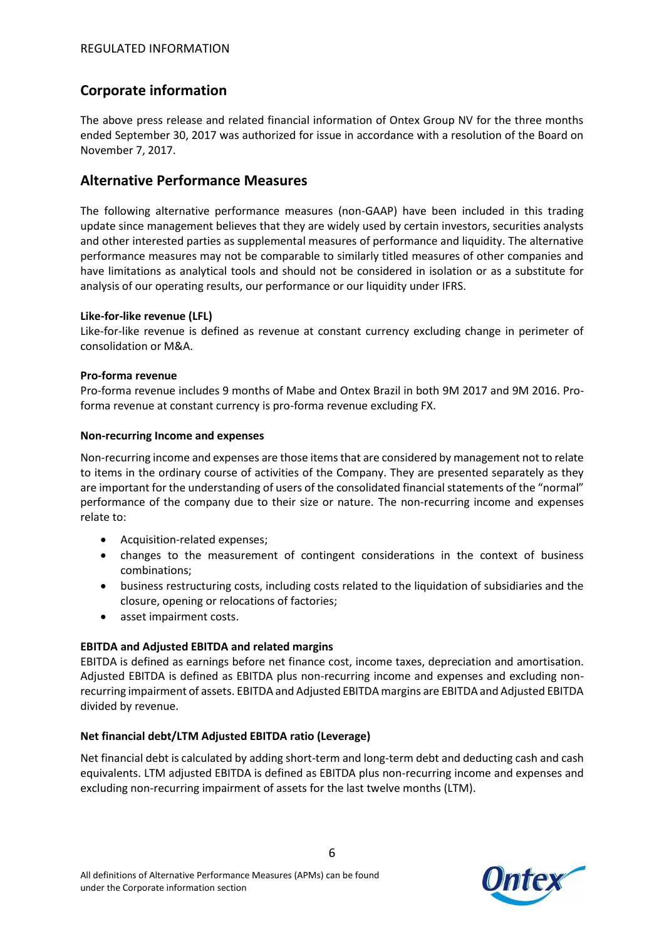# **Corporate information**

The above press release and related financial information of Ontex Group NV for the three months ended September 30, 2017 was authorized for issue in accordance with a resolution of the Board on November 7, 2017.

# **Alternative Performance Measures**

The following alternative performance measures (non-GAAP) have been included in this trading update since management believes that they are widely used by certain investors, securities analysts and other interested parties as supplemental measures of performance and liquidity. The alternative performance measures may not be comparable to similarly titled measures of other companies and have limitations as analytical tools and should not be considered in isolation or as a substitute for analysis of our operating results, our performance or our liquidity under IFRS.

### **Like-for-like revenue (LFL)**

Like-for-like revenue is defined as revenue at constant currency excluding change in perimeter of consolidation or M&A.

### **Pro-forma revenue**

Pro-forma revenue includes 9 months of Mabe and Ontex Brazil in both 9M 2017 and 9M 2016. Proforma revenue at constant currency is pro-forma revenue excluding FX.

### **Non-recurring Income and expenses**

Non-recurring income and expenses are those items that are considered by management not to relate to items in the ordinary course of activities of the Company. They are presented separately as they are important for the understanding of users of the consolidated financial statements of the "normal" performance of the company due to their size or nature. The non-recurring income and expenses relate to:

- Acquisition-related expenses;
- changes to the measurement of contingent considerations in the context of business combinations;
- business restructuring costs, including costs related to the liquidation of subsidiaries and the closure, opening or relocations of factories;
- asset impairment costs.

## **EBITDA and Adjusted EBITDA and related margins**

EBITDA is defined as earnings before net finance cost, income taxes, depreciation and amortisation. Adjusted EBITDA is defined as EBITDA plus non-recurring income and expenses and excluding nonrecurring impairment of assets. EBITDA and Adjusted EBITDA margins are EBITDA and Adjusted EBITDA divided by revenue.

### **Net financial debt/LTM Adjusted EBITDA ratio (Leverage)**

Net financial debt is calculated by adding short-term and long-term debt and deducting cash and cash equivalents. LTM adjusted EBITDA is defined as EBITDA plus non-recurring income and expenses and excluding non-recurring impairment of assets for the last twelve months (LTM).

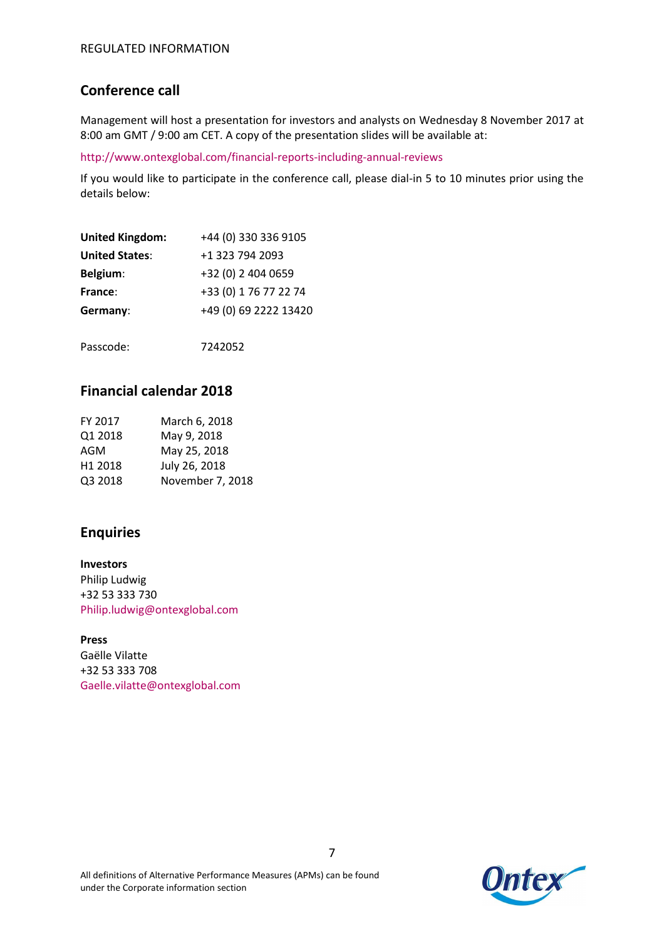# **Conference call**

Management will host a presentation for investors and analysts on Wednesday 8 November 2017 at 8:00 am GMT / 9:00 am CET. A copy of the presentation slides will be available at:

http://www.ontexglobal.com/financial-reports-including-annual-reviews

If you would like to participate in the conference call, please dial-in 5 to 10 minutes prior using the details below:

| <b>United Kingdom:</b> | +44 (0) 330 336 9105  |
|------------------------|-----------------------|
| <b>United States:</b>  | +1 323 794 2093       |
| Belgium:               | +32 (0) 2 404 0659    |
| France:                | +33 (0) 1 76 77 22 74 |
| Germany:               | +49 (0) 69 2222 13420 |
|                        |                       |

Passcode: 7242052

# **Financial calendar 2018**

| March 6, 2018    |
|------------------|
| May 9, 2018      |
| May 25, 2018     |
| July 26, 2018    |
| November 7, 2018 |
|                  |

# **Enquiries**

**Investors** Philip Ludwig +32 53 333 730 Philip.ludwig@ontexglobal.com

**Press**

Gaëlle Vilatte +32 53 333 708 Gaelle.vilatte@ontexglobal.com